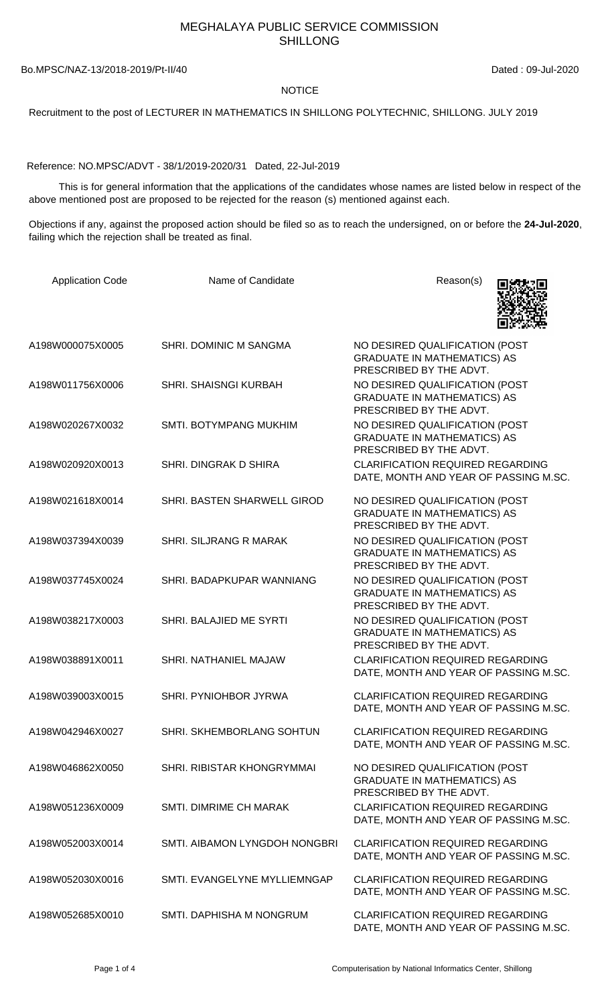## MEGHALAYA PUBLIC SERVICE COMMISSION SHILLONG

## Bo.MPSC/NAZ-13/2018-2019/Pt-II/40 Dated: 09-Jul-2020

## **NOTICE**

Recruitment to the post of LECTURER IN MATHEMATICS IN SHILLONG POLYTECHNIC, SHILLONG. JULY 2019

Reference: NO.MPSC/ADVT - 38/1/2019-2020/31 Dated, 22-Jul-2019

 This is for general information that the applications of the candidates whose names are listed below in respect of the above mentioned post are proposed to be rejected for the reason (s) mentioned against each.

Objections if any, against the proposed action should be filed so as to reach the undersigned, on or before the **24-Jul-2020**, failing which the rejection shall be treated as final.

| <b>Application Code</b> | Name of Candidate             | Reason(s)                                                                                       |
|-------------------------|-------------------------------|-------------------------------------------------------------------------------------------------|
| A198W000075X0005        | SHRI. DOMINIC M SANGMA        | NO DESIRED QUALIFICATION (POST<br><b>GRADUATE IN MATHEMATICS) AS</b><br>PRESCRIBED BY THE ADVT. |
| A198W011756X0006        | <b>SHRI. SHAISNGI KURBAH</b>  | NO DESIRED QUALIFICATION (POST<br><b>GRADUATE IN MATHEMATICS) AS</b><br>PRESCRIBED BY THE ADVT. |
| A198W020267X0032        | SMTI. BOTYMPANG MUKHIM        | NO DESIRED QUALIFICATION (POST<br><b>GRADUATE IN MATHEMATICS) AS</b><br>PRESCRIBED BY THE ADVT. |
| A198W020920X0013        | SHRI. DINGRAK D SHIRA         | <b>CLARIFICATION REQUIRED REGARDING</b><br>DATE, MONTH AND YEAR OF PASSING M.SC.                |
| A198W021618X0014        | SHRI. BASTEN SHARWELL GIROD   | NO DESIRED QUALIFICATION (POST<br><b>GRADUATE IN MATHEMATICS) AS</b><br>PRESCRIBED BY THE ADVT. |
| A198W037394X0039        | <b>SHRI. SILJRANG R MARAK</b> | NO DESIRED QUALIFICATION (POST<br><b>GRADUATE IN MATHEMATICS) AS</b><br>PRESCRIBED BY THE ADVT. |
| A198W037745X0024        | SHRI. BADAPKUPAR WANNIANG     | NO DESIRED QUALIFICATION (POST<br><b>GRADUATE IN MATHEMATICS) AS</b><br>PRESCRIBED BY THE ADVT. |
| A198W038217X0003        | SHRI. BALAJIED ME SYRTI       | NO DESIRED QUALIFICATION (POST<br><b>GRADUATE IN MATHEMATICS) AS</b><br>PRESCRIBED BY THE ADVT. |
| A198W038891X0011        | SHRI. NATHANIEL MAJAW         | <b>CLARIFICATION REQUIRED REGARDING</b><br>DATE, MONTH AND YEAR OF PASSING M.SC.                |
| A198W039003X0015        | SHRI. PYNIOHBOR JYRWA         | <b>CLARIFICATION REQUIRED REGARDING</b><br>DATE, MONTH AND YEAR OF PASSING M.SC.                |
| A198W042946X0027        | SHRI. SKHEMBORLANG SOHTUN     | <b>CLARIFICATION REQUIRED REGARDING</b><br>DATE, MONTH AND YEAR OF PASSING M.SC.                |
| A198W046862X0050        | SHRI. RIBISTAR KHONGRYMMAI    | NO DESIRED QUALIFICATION (POST<br><b>GRADUATE IN MATHEMATICS) AS</b><br>PRESCRIBED BY THE ADVT. |
| A198W051236X0009        | SMTI. DIMRIME CH MARAK        | <b>CLARIFICATION REQUIRED REGARDING</b><br>DATE, MONTH AND YEAR OF PASSING M.SC.                |
| A198W052003X0014        | SMTI. AIBAMON LYNGDOH NONGBRI | <b>CLARIFICATION REQUIRED REGARDING</b><br>DATE, MONTH AND YEAR OF PASSING M.SC.                |
| A198W052030X0016        | SMTI. EVANGELYNE MYLLIEMNGAP  | <b>CLARIFICATION REQUIRED REGARDING</b><br>DATE, MONTH AND YEAR OF PASSING M.SC.                |
| A198W052685X0010        | SMTI. DAPHISHA M NONGRUM      | <b>CLARIFICATION REQUIRED REGARDING</b><br>DATE, MONTH AND YEAR OF PASSING M.SC.                |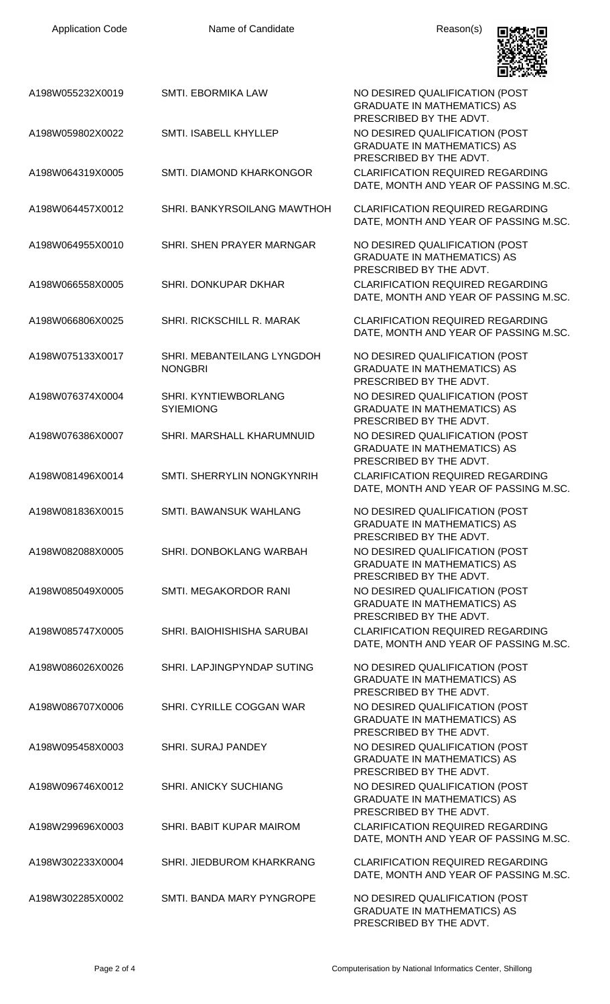Name of Candidate **Reason(s)** 



|                  |                                              | LET DE CHOMPARE                                                                                 |
|------------------|----------------------------------------------|-------------------------------------------------------------------------------------------------|
| A198W055232X0019 | SMTI. EBORMIKA LAW                           | NO DESIRED QUALIFICATION (POST<br><b>GRADUATE IN MATHEMATICS) AS</b><br>PRESCRIBED BY THE ADVT. |
| A198W059802X0022 | SMTI. ISABELL KHYLLEP                        | NO DESIRED QUALIFICATION (POST<br><b>GRADUATE IN MATHEMATICS) AS</b><br>PRESCRIBED BY THE ADVT. |
| A198W064319X0005 | SMTI. DIAMOND KHARKONGOR                     | <b>CLARIFICATION REQUIRED REGARDING</b><br>DATE, MONTH AND YEAR OF PASSING M.SC.                |
| A198W064457X0012 | SHRI. BANKYRSOILANG MAWTHOH                  | <b>CLARIFICATION REQUIRED REGARDING</b><br>DATE, MONTH AND YEAR OF PASSING M.SC.                |
| A198W064955X0010 | SHRI. SHEN PRAYER MARNGAR                    | NO DESIRED QUALIFICATION (POST<br><b>GRADUATE IN MATHEMATICS) AS</b><br>PRESCRIBED BY THE ADVT. |
| A198W066558X0005 | SHRI. DONKUPAR DKHAR                         | <b>CLARIFICATION REQUIRED REGARDING</b><br>DATE, MONTH AND YEAR OF PASSING M.SC.                |
| A198W066806X0025 | SHRI. RICKSCHILL R. MARAK                    | <b>CLARIFICATION REQUIRED REGARDING</b><br>DATE, MONTH AND YEAR OF PASSING M.SC.                |
| A198W075133X0017 | SHRI. MEBANTEILANG LYNGDOH<br><b>NONGBRI</b> | NO DESIRED QUALIFICATION (POST<br><b>GRADUATE IN MATHEMATICS) AS</b><br>PRESCRIBED BY THE ADVT. |
| A198W076374X0004 | SHRI. KYNTIEWBORLANG<br><b>SYIEMIONG</b>     | NO DESIRED QUALIFICATION (POST<br><b>GRADUATE IN MATHEMATICS) AS</b><br>PRESCRIBED BY THE ADVT. |
| A198W076386X0007 | SHRI. MARSHALL KHARUMNUID                    | NO DESIRED QUALIFICATION (POST<br><b>GRADUATE IN MATHEMATICS) AS</b><br>PRESCRIBED BY THE ADVT. |
| A198W081496X0014 | SMTI. SHERRYLIN NONGKYNRIH                   | <b>CLARIFICATION REQUIRED REGARDING</b><br>DATE, MONTH AND YEAR OF PASSING M.SC.                |
| A198W081836X0015 | <b>SMTI. BAWANSUK WAHLANG</b>                | NO DESIRED QUALIFICATION (POST<br><b>GRADUATE IN MATHEMATICS) AS</b><br>PRESCRIBED BY THE ADVT. |
| A198W082088X0005 | SHRI. DONBOKLANG WARBAH                      | NO DESIRED QUALIFICATION (POST<br><b>GRADUATE IN MATHEMATICS) AS</b><br>PRESCRIBED BY THE ADVT. |
| A198W085049X0005 | SMTI. MEGAKORDOR RANI                        | NO DESIRED QUALIFICATION (POST<br><b>GRADUATE IN MATHEMATICS) AS</b><br>PRESCRIBED BY THE ADVT. |
| A198W085747X0005 | SHRI. BAIOHISHISHA SARUBAI                   | <b>CLARIFICATION REQUIRED REGARDING</b><br>DATE, MONTH AND YEAR OF PASSING M.SC.                |
| A198W086026X0026 | SHRI. LAPJINGPYNDAP SUTING                   | NO DESIRED QUALIFICATION (POST<br><b>GRADUATE IN MATHEMATICS) AS</b><br>PRESCRIBED BY THE ADVT. |
| A198W086707X0006 | SHRI. CYRILLE COGGAN WAR                     | NO DESIRED QUALIFICATION (POST<br><b>GRADUATE IN MATHEMATICS) AS</b><br>PRESCRIBED BY THE ADVT. |
| A198W095458X0003 | <b>SHRI. SURAJ PANDEY</b>                    | NO DESIRED QUALIFICATION (POST<br><b>GRADUATE IN MATHEMATICS) AS</b><br>PRESCRIBED BY THE ADVT. |
| A198W096746X0012 | <b>SHRI. ANICKY SUCHIANG</b>                 | NO DESIRED QUALIFICATION (POST<br><b>GRADUATE IN MATHEMATICS) AS</b><br>PRESCRIBED BY THE ADVT. |
| A198W299696X0003 | SHRI. BABIT KUPAR MAIROM                     | <b>CLARIFICATION REQUIRED REGARDING</b><br>DATE, MONTH AND YEAR OF PASSING M.SC.                |
| A198W302233X0004 | SHRI. JIEDBUROM KHARKRANG                    | <b>CLARIFICATION REQUIRED REGARDING</b><br>DATE, MONTH AND YEAR OF PASSING M.SC.                |
| A198W302285X0002 | SMTI. BANDA MARY PYNGROPE                    | NO DESIRED QUALIFICATION (POST<br><b>GRADUATE IN MATHEMATICS) AS</b><br>PRESCRIBED BY THE ADVT. |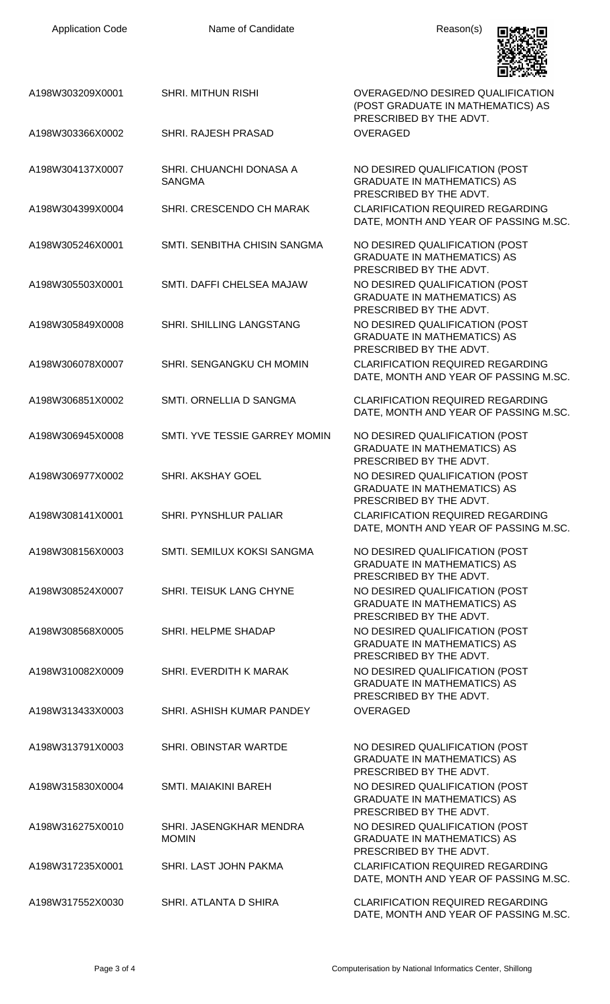

|                  |                                          | 回游戏语                                                                                              |
|------------------|------------------------------------------|---------------------------------------------------------------------------------------------------|
| A198W303209X0001 | <b>SHRI. MITHUN RISHI</b>                | OVERAGED/NO DESIRED QUALIFICATION<br>(POST GRADUATE IN MATHEMATICS) AS<br>PRESCRIBED BY THE ADVT. |
| A198W303366X0002 | SHRI. RAJESH PRASAD                      | <b>OVERAGED</b>                                                                                   |
| A198W304137X0007 | SHRI, CHUANCHI DONASA A<br><b>SANGMA</b> | NO DESIRED QUALIFICATION (POST<br><b>GRADUATE IN MATHEMATICS) AS</b><br>PRESCRIBED BY THE ADVT.   |
| A198W304399X0004 | SHRI. CRESCENDO CH MARAK                 | <b>CLARIFICATION REQUIRED REGARDING</b><br>DATE, MONTH AND YEAR OF PASSING M.SC.                  |
| A198W305246X0001 | SMTI. SENBITHA CHISIN SANGMA             | NO DESIRED QUALIFICATION (POST<br><b>GRADUATE IN MATHEMATICS) AS</b><br>PRESCRIBED BY THE ADVT.   |
| A198W305503X0001 | SMTI. DAFFI CHELSEA MAJAW                | NO DESIRED QUALIFICATION (POST<br><b>GRADUATE IN MATHEMATICS) AS</b><br>PRESCRIBED BY THE ADVT.   |
| A198W305849X0008 | SHRI. SHILLING LANGSTANG                 | NO DESIRED QUALIFICATION (POST<br><b>GRADUATE IN MATHEMATICS) AS</b><br>PRESCRIBED BY THE ADVT.   |
| A198W306078X0007 | SHRI. SENGANGKU CH MOMIN                 | <b>CLARIFICATION REQUIRED REGARDING</b><br>DATE, MONTH AND YEAR OF PASSING M.SC.                  |
| A198W306851X0002 | SMTI. ORNELLIA D SANGMA                  | <b>CLARIFICATION REQUIRED REGARDING</b><br>DATE, MONTH AND YEAR OF PASSING M.SC.                  |
| A198W306945X0008 | SMTI. YVE TESSIE GARREY MOMIN            | NO DESIRED QUALIFICATION (POST<br><b>GRADUATE IN MATHEMATICS) AS</b><br>PRESCRIBED BY THE ADVT.   |
| A198W306977X0002 | SHRI. AKSHAY GOEL                        | NO DESIRED QUALIFICATION (POST<br><b>GRADUATE IN MATHEMATICS) AS</b><br>PRESCRIBED BY THE ADVT.   |
| A198W308141X0001 | SHRI. PYNSHLUR PALIAR                    | CLARIFICATION REQUIRED REGARDING<br>DATE, MONTH AND YEAR OF PASSING M.SC.                         |
| A198W308156X0003 | SMTI. SEMILUX KOKSI SANGMA               | NO DESIRED QUALIFICATION (POST<br><b>GRADUATE IN MATHEMATICS) AS</b><br>PRESCRIBED BY THE ADVT.   |
| A198W308524X0007 | SHRI. TEISUK LANG CHYNE                  | NO DESIRED QUALIFICATION (POST<br><b>GRADUATE IN MATHEMATICS) AS</b><br>PRESCRIBED BY THE ADVT.   |
| A198W308568X0005 | SHRI. HELPME SHADAP                      | NO DESIRED QUALIFICATION (POST<br><b>GRADUATE IN MATHEMATICS) AS</b><br>PRESCRIBED BY THE ADVT.   |
| A198W310082X0009 | SHRI. EVERDITH K MARAK                   | NO DESIRED QUALIFICATION (POST<br><b>GRADUATE IN MATHEMATICS) AS</b><br>PRESCRIBED BY THE ADVT.   |
| A198W313433X0003 | SHRI. ASHISH KUMAR PANDEY                | <b>OVERAGED</b>                                                                                   |
| A198W313791X0003 | SHRI. OBINSTAR WARTDE                    | NO DESIRED QUALIFICATION (POST<br><b>GRADUATE IN MATHEMATICS) AS</b><br>PRESCRIBED BY THE ADVT.   |
| A198W315830X0004 | <b>SMTI. MAIAKINI BAREH</b>              | NO DESIRED QUALIFICATION (POST<br><b>GRADUATE IN MATHEMATICS) AS</b><br>PRESCRIBED BY THE ADVT.   |
| A198W316275X0010 | SHRI. JASENGKHAR MENDRA<br><b>MOMIN</b>  | NO DESIRED QUALIFICATION (POST<br><b>GRADUATE IN MATHEMATICS) AS</b><br>PRESCRIBED BY THE ADVT.   |
| A198W317235X0001 | SHRI. LAST JOHN PAKMA                    | <b>CLARIFICATION REQUIRED REGARDING</b><br>DATE, MONTH AND YEAR OF PASSING M.SC.                  |
| A198W317552X0030 | SHRI. ATLANTA D SHIRA                    | <b>CLARIFICATION REQUIRED REGARDING</b><br>DATE, MONTH AND YEAR OF PASSING M.SC.                  |